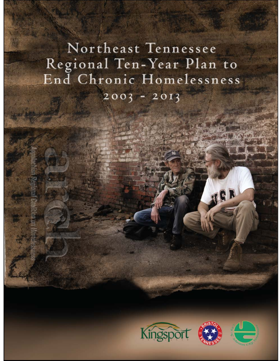# Northeast Tennessee Regional Ten-Year Plan to End Chronic Homelessness  $2003 - 2013$





IGR

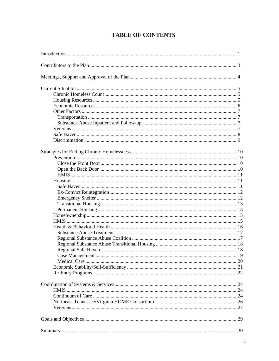# **TABLE OF CONTENTS**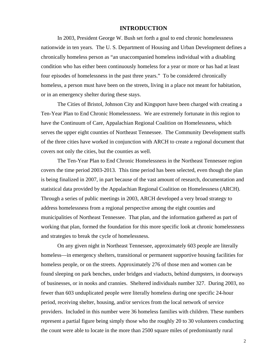## **INTRODUCTION**

In 2003, President George W. Bush set forth a goal to end chronic homelessness nationwide in ten years. The U. S. Department of Housing and Urban Development defines a chronically homeless person as "an unaccompanied homeless individual with a disabling condition who has either been continuously homeless for a year or more or has had at least four episodes of homelessness in the past three years." To be considered chronically homeless, a person must have been on the streets, living in a place not meant for habitation, or in an emergency shelter during these stays.

The Cities of Bristol, Johnson City and Kingsport have been charged with creating a Ten-Year Plan to End Chronic Homelessness. We are extremely fortunate in this region to have the Continuum of Care, Appalachian Regional Coalition on Homelessness, which serves the upper eight counties of Northeast Tennessee. The Community Development staffs of the three cities have worked in conjunction with ARCH to create a regional document that covers not only the cities, but the counties as well.

The Ten-Year Plan to End Chronic Homelessness in the Northeast Tennessee region covers the time period 2003-2013. This time period has been selected, even though the plan is being finalized in 2007, in part because of the vast amount of research, documentation and statistical data provided by the Appalachian Regional Coalition on Homelessness (ARCH). Through a series of public meetings in 2003, ARCH developed a very broad strategy to address homelessness from a regional perspective among the eight counties and municipalities of Northeast Tennessee. That plan, and the information gathered as part of working that plan, formed the foundation for this more specific look at chronic homelessness and strategies to break the cycle of homelessness.

On any given night in Northeast Tennessee, approximately 603 people are literally homeless—in emergency shelters, transitional or permanent supportive housing facilities for homeless people, or on the streets. Approximately 276 of those men and women can be found sleeping on park benches, under bridges and viaducts, behind dumpsters, in doorways of businesses, or in nooks and crannies. Sheltered individuals number 327. During 2003, no fewer than 603 unduplicated people were literally homeless during one specific 24-hour period, receiving shelter, housing, and/or services from the local network of service providers. Included in this number were 36 homeless families with children. These numbers represent a partial figure being simply those who the roughly 20 to 30 volunteers conducting the count were able to locate in the more than 2500 square miles of predominantly rural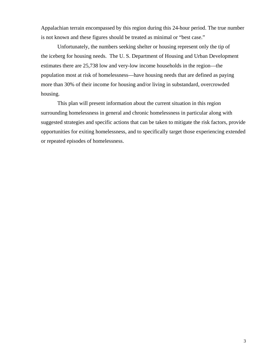Appalachian terrain encompassed by this region during this 24-hour period. The true number is not known and these figures should be treated as minimal or "best case."

Unfortunately, the numbers seeking shelter or housing represent only the tip of the iceberg for housing needs. The U. S. Department of Housing and Urban Development estimates there are 25,738 low and very-low income households in the region—the population most at risk of homelessness—have housing needs that are defined as paying more than 30% of their income for housing and/or living in substandard, overcrowded housing.

 This plan will present information about the current situation in this region surrounding homelessness in general and chronic homelessness in particular along with suggested strategies and specific actions that can be taken to mitigate the risk factors, provide opportunities for exiting homelessness, and to specifically target those experiencing extended or repeated episodes of homelessness.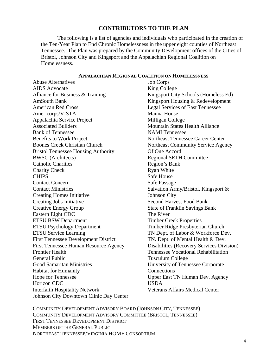# **CONTRIBUTORS TO THE PLAN**

The following is a list of agencies and individuals who participated in the creation of the Ten-Year Plan to End Chronic Homelessness in the upper eight counties of Northeast Tennessee. The Plan was prepared by the Community Development offices of the Cities of Bristol, Johnson City and Kingsport and the Appalachian Regional Coalition on Homelessness.

#### **APPALACHIAN REGIONAL COALITION ON HOMELESSNESS**

Abuse Alternatives AIDS Advocate Alliance for Business & Training AmSouth Bank American Red Cross Americorps/VISTA Appalachia Service Project Associated Builders Bank of Tennessee Benefits to Work Project Boones Creek Christian Church Bristol Tennessee Housing Authority BWSC (Architects) Catholic Charities Charity Check **CHIPS** Contact Concern Contact Ministries Creating Homes Initiative Creating Jobs Initiative Creative Energy Group Eastern Eight CDC ETSU BSW Department ETSU Psychology Department ETSU Service Learning First Tennessee Development District First Tennessee Human Resource Agency Frontier Health General Public Good Samaritan Ministries Habitat for Humanity Hope for Tennessee Horizon CDC Interfaith Hospitality Network Johnson City Downtown Clinic Day Center Job Corps King College Kingsport City Schools (Homeless Ed) Kingsport Housing & Redevelopment Legal Services of East Tennessee Manna House Milligan College Mountain States Health Alliance NAMI Tennessee Northeast Tennessee Career Center Northeast Community Service Agency Of One Accord Regional SETH Committee Region's Bank Ryan White Safe House Safe Passage Salvation Army/Bristol, Kingsport & Johnson City Second Harvest Food Bank State of Franklin Savings Bank The River Timber Creek Properties Timber Ridge Presbyterian Church TN Dept. of Labor & Workforce Dev. TN. Dept. of Mental Health & Dev. Disabilities (Recovery Services Division) Tennessee Vocational Rehabilitation Tusculum College University of Tennessee Corporate **Connections** Upper East TN Human Dev. Agency USDA Veterans Affairs Medical Center

COMMUNITY DEVELOPMENT ADVISORY BOARD (JOHNSON CITY, TENNESSEE) COMMUNITY DEVELOPMENT ADVISORY COMMITTEE (BRISTOL, TENNESSEE) FIRST TENNESSEE DEVELOPMENT DISTRICT MEMBERS OF THE GENERAL PUBLIC NORTHEAST TENNESSEE/VIRGINIA HOME CONSORTIUM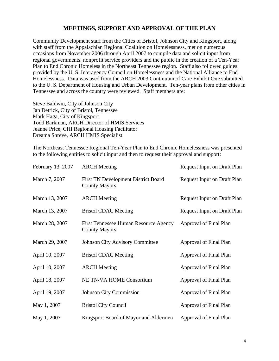# **MEETINGS, SUPPORT AND APPROVAL OF THE PLAN**

Community Development staff from the Cities of Bristol, Johnson City and Kingsport, along with staff from the Appalachian Regional Coalition on Homelessness, met on numerous occasions from November 2006 through April 2007 to compile data and solicit input from regional governments, nonprofit service providers and the public in the creation of a Ten-Year Plan to End Chronic Homeless in the Northeast Tennessee region. Staff also followed guides provided by the U. S. Interagency Council on Homelessness and the National Alliance to End Homelessness. Data was used from the ARCH 2003 Continuum of Care Exhibit One submitted to the U. S. Department of Housing and Urban Development. Ten-year plans from other cities in Tennessee and across the country were reviewed. Staff members are:

Steve Baldwin, City of Johnson City Jan Detrick, City of Bristol, Tennessee Mark Haga, City of Kingsport Todd Barkman, ARCH Director of HMIS Services Jeanne Price, CHI Regional Housing Facilitator Dreama Shreve, ARCH HMIS Specialist

The Northeast Tennessee Regional Ten-Year Plan to End Chronic Homelessness was presented to the following entities to solicit input and then to request their approval and support:

| February 13, 2007 | <b>ARCH</b> Meeting                                                | <b>Request Input on Draft Plan</b> |
|-------------------|--------------------------------------------------------------------|------------------------------------|
| March 7, 2007     | <b>First TN Development District Board</b><br><b>County Mayors</b> | <b>Request Input on Draft Plan</b> |
| March 13, 2007    | <b>ARCH</b> Meeting                                                | <b>Request Input on Draft Plan</b> |
| March 13, 2007    | <b>Bristol CDAC Meeting</b>                                        | <b>Request Input on Draft Plan</b> |
| March 28, 2007    | First Tennessee Human Resource Agency<br><b>County Mayors</b>      | Approval of Final Plan             |
| March 29, 2007    | <b>Johnson City Advisory Committee</b>                             | Approval of Final Plan             |
| April 10, 2007    | <b>Bristol CDAC Meeting</b>                                        | Approval of Final Plan             |
| April 10, 2007    | <b>ARCH</b> Meeting                                                | Approval of Final Plan             |
| April 18, 2007    | <b>NE TN/VA HOME Consortium</b>                                    | Approval of Final Plan             |
| April 19, 2007    | <b>Johnson City Commission</b>                                     | Approval of Final Plan             |
| May 1, 2007       | <b>Bristol City Council</b>                                        | Approval of Final Plan             |
| May 1, 2007       | Kingsport Board of Mayor and Aldermen                              | Approval of Final Plan             |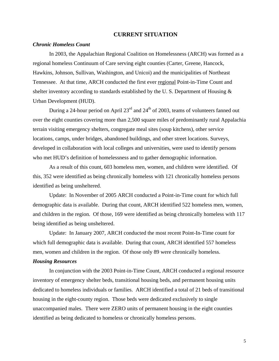#### **CURRENT SITUATION**

#### *Chronic Homeless Count*

In 2003, the Appalachian Regional Coalition on Homelessness (ARCH) was formed as a regional homeless Continuum of Care serving eight counties (Carter, Greene, Hancock, Hawkins, Johnson, Sullivan, Washington, and Unicoi) and the municipalities of Northeast Tennessee. At that time, ARCH conducted the first ever regional Point-in-Time Count and shelter inventory according to standards established by the U. S. Department of Housing & Urban Development (HUD).

During a 24-hour period on April  $23<sup>rd</sup>$  and  $24<sup>th</sup>$  of 2003, teams of volunteers fanned out over the eight counties covering more than 2,500 square miles of predominantly rural Appalachia terrain visiting emergency shelters, congregate meal sites (soup kitchens), other service locations, camps, under bridges, abandoned buildings, and other street locations. Surveys, developed in collaboration with local colleges and universities, were used to identify persons who met HUD's definition of homelessness and to gather demographic information.

As a result of this count, 603 homeless men, women, and children were identified. Of this, 352 were identified as being chronically homeless with 121 chronically homeless persons identified as being unsheltered.

 Update: In November of 2005 ARCH conducted a Point-in-Time count for which full demographic data is available. During that count, ARCH identified 522 homeless men, women, and children in the region. Of those, 169 were identified as being chronically homeless with 117 being identified as being unsheltered.

 Update: In January 2007, ARCH conducted the most recent Point-In-Time count for which full demographic data is available. During that count, ARCH identified 557 homeless men, women and children in the region. Of those only 89 were chronically homeless.

#### *Housing Resources*

In conjunction with the 2003 Point-in-Time Count, ARCH conducted a regional resource inventory of emergency shelter beds, transitional housing beds, and permanent housing units dedicated to homeless individuals or families. ARCH identified a total of 21 beds of transitional housing in the eight-county region. Those beds were dedicated exclusively to single unaccompanied males. There were ZERO units of permanent housing in the eight counties identified as being dedicated to homeless or chronically homeless persons.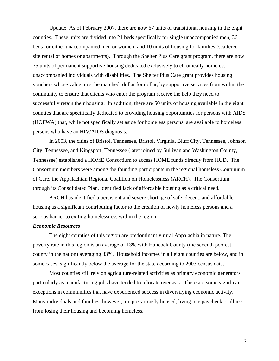Update: As of February 2007, there are now 67 units of transitional housing in the eight counties. These units are divided into 21 beds specifically for single unaccompanied men, 36 beds for either unaccompanied men or women; and 10 units of housing for families (scattered site rental of homes or apartments). Through the Shelter Plus Care grant program, there are now 75 units of permanent supportive housing dedicated exclusively to chronically homeless unaccompanied individuals with disabilities. The Shelter Plus Care grant provides housing vouchers whose value must be matched, dollar for dollar, by supportive services from within the community to ensure that clients who enter the program receive the help they need to successfully retain their housing. In addition, there are 50 units of housing available in the eight counties that are specifically dedicated to providing housing opportunities for persons with AIDS (HOPWA) that, while not specifically set aside for homeless persons, are available to homeless persons who have an HIV/AIDS diagnosis.

In 2003, the cities of Bristol, Tennessee, Bristol, Virginia, Bluff City, Tennessee, Johnson City, Tennessee, and Kingsport, Tennessee (later joined by Sullivan and Washington County, Tennessee) established a HOME Consortium to access HOME funds directly from HUD. The Consortium members were among the founding participants in the regional homeless Continuum of Care, the Appalachian Regional Coalition on Homelessness (ARCH). The Consortium, through its Consolidated Plan, identified lack of affordable housing as a critical need.

ARCH has identified a persistent and severe shortage of safe, decent, and affordable housing as a significant contributing factor to the creation of newly homeless persons and a serious barrier to exiting homelessness within the region.

# *Economic Resources*

The eight counties of this region are predominantly rural Appalachia in nature. The poverty rate in this region is an average of 13% with Hancock County (the seventh poorest county in the nation) averaging 33%. Household incomes in all eight counties are below, and in some cases, significantly below the average for the state according to 2003 census data.

Most counties still rely on agriculture-related activities as primary economic generators, particularly as manufacturing jobs have tended to relocate overseas. There are some significant exceptions in communities that have experienced success in diversifying economic activity. Many individuals and families, however, are precariously housed, living one paycheck or illness from losing their housing and becoming homeless.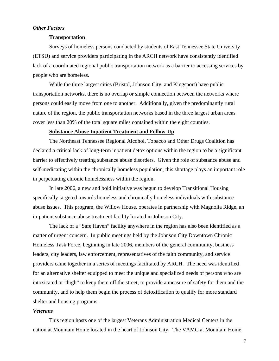# *Other Factors*

# **Transportation**

Surveys of homeless persons conducted by students of East Tennessee State University (ETSU) and service providers participating in the ARCH network have consistently identified lack of a coordinated regional public transportation network as a barrier to accessing services by people who are homeless.

While the three largest cities (Bristol, Johnson City, and Kingsport) have public transportation networks, there is no overlap or simple connection between the networks where persons could easily move from one to another. Additionally, given the predominantly rural nature of the region, the public transportation networks based in the three largest urban areas cover less than 20% of the total square miles contained within the eight counties.

#### **Substance Abuse Inpatient Treatment and Follow-Up**

The Northeast Tennessee Regional Alcohol, Tobacco and Other Drugs Coalition has declared a critical lack of long-term inpatient detox options within the region to be a significant barrier to effectively treating substance abuse disorders. Given the role of substance abuse and self-medicating within the chronically homeless population, this shortage plays an important role in perpetuating chronic homelessness within the region.

In late 2006, a new and bold initiative was begun to develop Transitional Housing specifically targeted towards homeless and chronically homeless individuals with substance abuse issues. This program, the Willow House, operates in partnership with Magnolia Ridge, an in-patient substance abuse treatment facility located in Johnson City.

The lack of a "Safe Haven" facility anywhere in the region has also been identified as a matter of urgent concern. In public meetings held by the Johnson City Downtown Chronic Homeless Task Force, beginning in late 2006, members of the general community, business leaders, city leaders, law enforcement, representatives of the faith community, and service providers came together in a series of meetings facilitated by ARCH. The need was identified for an alternative shelter equipped to meet the unique and specialized needs of persons who are intoxicated or "high" to keep them off the street, to provide a measure of safety for them and the community, and to help them begin the process of detoxification to qualify for more standard shelter and housing programs.

## *Veterans*

This region hosts one of the largest Veterans Administration Medical Centers in the nation at Mountain Home located in the heart of Johnson City. The VAMC at Mountain Home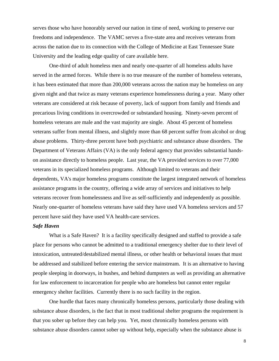serves those who have honorably served our nation in time of need, working to preserve our freedoms and independence. The VAMC serves a five-state area and receives veterans from across the nation due to its connection with the College of Medicine at East Tennessee State University and the leading edge quality of care available here.

One-third of adult homeless men and nearly one-quarter of all homeless adults have served in the armed forces. While there is no true measure of the number of homeless veterans, it has been estimated that more than 200,000 veterans across the nation may be homeless on any given night and that twice as many veterans experience homelessness during a year. Many other veterans are considered at risk because of poverty, lack of support from family and friends and precarious living conditions in overcrowded or substandard housing. Ninety-seven percent of homeless veterans are male and the vast majority are single. About 45 percent of homeless veterans suffer from mental illness, and slightly more than 68 percent suffer from alcohol or drug abuse problems. Thirty-three percent have both psychiatric and substance abuse disorders. The Department of Veterans Affairs (VA) is the only federal agency that provides substantial handson assistance directly to homeless people. Last year, the VA provided services to over 77,000 veterans in its specialized homeless programs. Although limited to veterans and their dependents, VA's major homeless programs constitute the largest integrated network of homeless assistance programs in the country, offering a wide array of services and initiatives to help veterans recover from homelessness and live as self-sufficiently and independently as possible. Nearly one-quarter of homeless veterans have said they have used VA homeless services and 57 percent have said they have used VA health-care services.

# *Safe Haven*

What is a Safe Haven? It is a facility specifically designed and staffed to provide a safe place for persons who cannot be admitted to a traditional emergency shelter due to their level of intoxication, untreated/destabilized mental illness, or other health or behavioral issues that must be addressed and stabilized before entering the service mainstream. It is an alternative to having people sleeping in doorways, in bushes, and behind dumpsters as well as providing an alternative for law enforcement to incarceration for people who are homeless but cannot enter regular emergency shelter facilities. Currently there is no such facility in the region.

One hurdle that faces many chronically homeless persons, particularly those dealing with substance abuse disorders, is the fact that in most traditional shelter programs the requirement is that you sober up before they can help you. Yet, most chronically homeless persons with substance abuse disorders cannot sober up without help, especially when the substance abuse is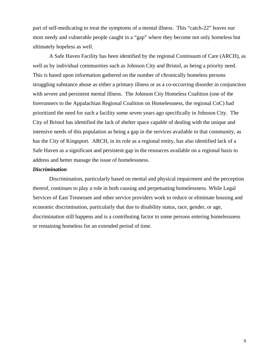part of self-medicating to treat the symptoms of a mental illness. This "catch-22" leaves our most needy and vulnerable people caught in a "gap" where they become not only homeless but ultimately hopeless as well.

A Safe Haven Facility has been identified by the regional Continuum of Care (ARCH), as well as by individual communities such as Johnson City and Bristol, as being a priority need. This is based upon information gathered on the number of chronically homeless persons struggling substance abuse as either a primary illness or as a co-occurring disorder in conjunction with severe and persistent mental illness. The Johnson City Homeless Coalition (one of the forerunners to the Appalachian Regional Coalition on Homelessness, the regional CoC) had prioritized the need for such a facility some seven years ago specifically in Johnson City. The City of Bristol has identified the lack of shelter space capable of dealing with the unique and intensive needs of this population as being a gap in the services available in that community, as has the City of Kingsport. ARCH, in its role as a regional entity, has also identified lack of a Safe Haven as a significant and persistent gap in the resources available on a regional basis to address and better manage the issue of homelessness.

#### *Discrimination*

 Discrimination, particularly based on mental and physical impairment and the perception thereof, continues to play a role in both causing and perpetuating homelessness. While Legal Services of East Tennessee and other service providers work to reduce or eliminate housing and economic discrimination, particularly that due to disability status, race, gender, or age, discrimination still happens and is a contributing factor to some persons entering homelessness or remaining homeless for an extended period of time.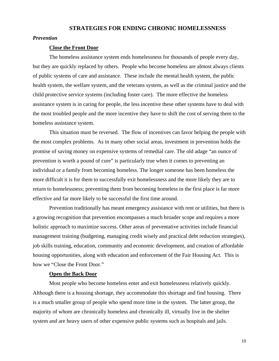# **STRATEGIES FOR ENDING CHRONIC HOMELESSNESS**

#### *Prevention*

#### **Close the Front Door**

The homeless assistance system ends homelessness for thousands of people every day, but they are quickly replaced by others. People who become homeless are almost always clients of public systems of care and assistance. These include the mental health system, the public health system, the welfare system, and the veterans system, as well as the criminal justice and the child protective service systems (including foster care). The more effective the homeless assistance system is in caring for people, the less incentive these other systems have to deal with the most troubled people and the more incentive they have to shift the cost of serving them to the homeless assistance system.

This situation must be reversed. The flow of incentives can favor helping the people with the most complex problems. As in many other social areas, investment in prevention holds the promise of saving money on expensive systems of remedial care. The old adage "an ounce of prevention is worth a pound of cure" is particularly true when it comes to preventing an individual or a family from becoming homeless. The longer someone has been homeless the more difficult it is for them to successfully exit homelessness and the more likely they are to return to homelessness; preventing them from becoming homeless in the first place is far more effective and far more likely to be successful the first time around.

Prevention traditionally has meant emergency assistance with rent or utilities, but there is a growing recognition that prevention encompasses a much broader scope and requires a more holistic approach to maximize success. Other areas of preventative activities include financial management training (budgeting, managing credit wisely and practical debt reduction strategies), job skills training, education, community and economic development, and creation of affordable housing opportunities, along with education and enforcement of the Fair Housing Act. This is how we "Close the Front Door."

# **Open the Back Door**

Most people who become homeless enter and exit homelessness relatively quickly. Although there is a housing shortage, they accommodate this shortage and find housing. There is a much smaller group of people who spend more time in the system. The latter group, the majority of whom are chronically homeless and chronically ill, virtually live in the shelter system and are heavy users of other expensive public systems such as hospitals and jails.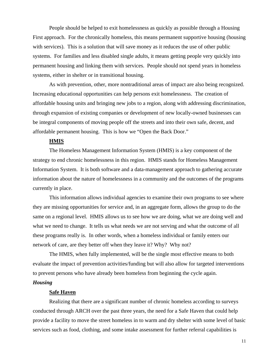People should be helped to exit homelessness as quickly as possible through a Housing First approach. For the chronically homeless, this means permanent supportive housing (housing with services). This is a solution that will save money as it reduces the use of other public systems. For families and less disabled single adults, it means getting people very quickly into permanent housing and linking them with services. People should not spend years in homeless systems, either in shelter or in transitional housing.

As with prevention, other, more nontraditional areas of impact are also being recognized. Increasing educational opportunities can help persons exit homelessness. The creation of affordable housing units and bringing new jobs to a region, along with addressing discrimination, through expansion of existing companies or development of new locally-owned businesses can be integral components of moving people off the streets and into their own safe, decent, and affordable permanent housing. This is how we "Open the Back Door."

#### **HMIS**

 The Homeless Management Information System (HMIS) is a key component of the strategy to end chronic homelessness in this region. HMIS stands for Homeless Management Information System. It is both software and a data-management approach to gathering accurate information about the nature of homelessness in a community and the outcomes of the programs currently in place.

This information allows individual agencies to examine their own programs to see where they are missing opportunities for service and, in an aggregate form, allows the group to do the same on a regional level. HMIS allows us to see how we are doing, what we are doing well and what we need to change. It tells us what needs we are not serving and what the outcome of all these programs really is. In other words, when a homeless individual or family enters our network of care, are they better off when they leave it? Why? Why not?

The HMIS, when fully implemented, will be the single most effective means to both evaluate the impact of prevention activities/funding but will also allow for targeted interventions to prevent persons who have already been homeless from beginning the cycle again.

#### *Housing*

### **Safe Haven**

Realizing that there are a significant number of chronic homeless according to surveys conducted through ARCH over the past three years, the need for a Safe Haven that could help provide a facility to move the street homeless in to warm and dry shelter with some level of basic services such as food, clothing, and some intake assessment for further referral capabilities is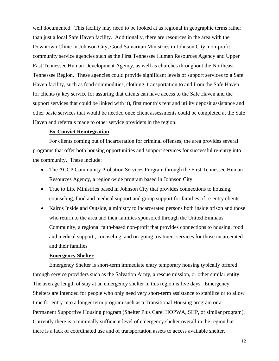well documented. This facility may need to be looked at as regional in geographic terms rather than just a local Safe Haven facility. Additionally, there are resources in the area with the Downtown Clinic in Johnson City, Good Samaritan Ministries in Johnson City, non-profit community service agencies such as the First Tennessee Human Resources Agency and Upper East Tennessee Human Development Agency, as well as churches throughout the Northeast Tennessee Region. These agencies could provide significant levels of support services to a Safe Haven facility, such as food commodities, clothing, transportation to and from the Safe Haven for clients (a key service for assuring that clients can have access to the Safe Haven and the support services that could be linked with it), first month's rent and utility deposit assistance and other basic services that would be needed once client assessments could be completed at the Safe Haven and referrals made to other service providers in the region.

#### **Ex-Convict Reintegration**

For clients coming out of incarceration for criminal offenses, the area provides several programs that offer both housing opportunities and support services for successful re-entry into the community. These include:

- The ACCP Community Probation Services Program through the First Tennessee Human Resources Agency, a region-wide program based in Johnson City
- True to Life Ministries based in Johnson City that provides connections to housing, counseling, food and medical support and group support for families of re-entry clients
- Kairos Inside and Outside, a ministry to incarcerated persons both inside prison and those who return to the area and their families sponsored through the United Emmaus Community, a regional faith-based non-profit that provides connections to housing, food and medical support , counseling, and on-going treatment services for those incarcerated and their families

# **Emergency Shelter**

Emergency Shelter is short-term immediate entry temporary housing typically offered through service providers such as the Salvation Army, a rescue mission, or other similar entity. The average length of stay at an emergency shelter in this region is five days. Emergency Shelters are intended for people who only need very short-term assistance to stabilize or to allow time for entry into a longer term program such as a Transitional Housing program or a Permanent Supportive Housing program (Shelter Plus Care, HOPWA, SHP, or similar program). Currently there is a minimally sufficient level of emergency shelter overall in the region but there is a lack of coordinated use and of transportation assets to access available shelter.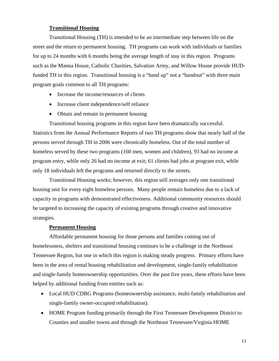# **Transitional Housing**

Transitional Housing (TH) is intended to be an intermediate step between life on the street and the return to permanent housing. TH programs can work with individuals or families for up to 24 months with 6 months being the average length of stay in this region. Programs such as the Manna House, Catholic Charities, Salvation Army, and Willow House provide HUDfunded TH in this region. Transitional housing is a "hand up" not a "handout" with three main program goals common to all TH programs:

- Increase the income/resources of clients
- Increase client independence/self reliance
- Obtain and remain in permanent housing

Transitional housing programs in this region have been dramatically successful. Statistics from the Annual Performance Reports of two TH programs show that nearly half of the persons served through TH in 2006 were chronically homeless. Out of the total number of homeless served by these two programs (160 men, women and children), 93 had no income at program entry, while only 26 had no income at exit; 61 clients had jobs at program exit, while only 18 individuals left the programs and returned directly to the streets.

Transitional Housing works; however, this region still averages only one transitional housing unit for every eight homeless persons. Many people remain homeless due to a lack of capacity in programs with demonstrated effectiveness. Additional community resources should be targeted to increasing the capacity of existing programs through creative and innovative strategies.

# **Permanent Housing**

Affordable permanent housing for those persons and families coming out of homelessness, shelters and transitional housing continues to be a challenge in the Northeast Tennessee Region, but one in which this region is making steady progress. Primary efforts have been in the area of rental housing rehabilitation and development, single-family rehabilitation and single-family homeownership opportunities. Over the past five years, these efforts have been helped by additional funding from entities such as:

- Local HUD CDBG Programs (homeownership assistance, multi-family rehabilitation and single-family owner-occupied rehabilitation).
- HOME Program funding primarily through the First Tennessee Development District to Counties and smaller towns and through the Northeast Tennessee/Virginia HOME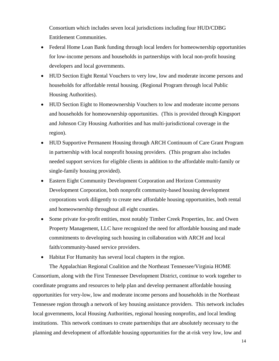Consortium which includes seven local jurisdictions including four HUD/CDBG Entitlement Communities.

- Federal Home Loan Bank funding through local lenders for homeownership opportunities for low-income persons and households in partnerships with local non-profit housing developers and local governments.
- HUD Section Eight Rental Vouchers to very low, low and moderate income persons and households for affordable rental housing. (Regional Program through local Public Housing Authorities).
- HUD Section Eight to Homeownership Vouchers to low and moderate income persons and households for homeownership opportunities. (This is provided through Kingsport and Johnson City Housing Authorities and has multi-jurisdictional coverage in the region).
- HUD Supportive Permanent Housing through ARCH Continuum of Care Grant Program in partnership with local nonprofit housing providers. (This program also includes needed support services for eligible clients in addition to the affordable multi-family or single-family housing provided).
- Eastern Eight Community Development Corporation and Horizon Community Development Corporation, both nonprofit community-based housing development corporations work diligently to create new affordable housing opportunities, both rental and homeownership throughout all eight counties.
- Some private for-profit entities, most notably Timber Creek Properties, Inc. and Owen Property Management, LLC have recognized the need for affordable housing and made commitments to developing such housing in collaboration with ARCH and local faith/community-based service providers.
- Habitat For Humanity has several local chapters in the region.

The Appalachian Regional Coalition and the Northeast Tennessee/Virginia HOME Consortium, along with the First Tennessee Development District, continue to work together to coordinate programs and resources to help plan and develop permanent affordable housing opportunities for very-low, low and moderate income persons and households in the Northeast Tennessee region through a network of key housing assistance providers. This network includes local governments, local Housing Authorities, regional housing nonprofits, and local lending institutions. This network continues to create partnerships that are absolutely necessary to the planning and development of affordable housing opportunities for the at-risk very low, low and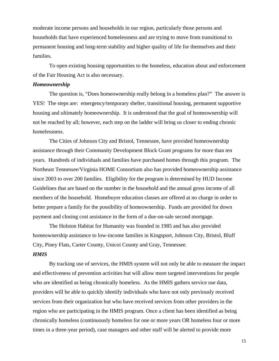moderate income persons and households in our region, particularly those persons and households that have experienced homelessness and are trying to move from transitional to permanent housing and long-term stability and higher quality of life for themselves and their families.

To open existing housing opportunities to the homeless, education about and enforcement of the Fair Housing Act is also necessary.

#### *Homeownership*

The question is, "Does homeownership really belong in a homeless plan?" The answer is YES! The steps are: emergency/temporary shelter, transitional housing, permanent supportive housing and ultimately homeownership. It is understood that the goal of homeownership will not be reached by all; however, each step on the ladder will bring us closer to ending chronic homelessness.

The Cities of Johnson City and Bristol, Tennessee, have provided homeownership assistance through their Community Development Block Grant programs for more than ten years. Hundreds of individuals and families have purchased homes through this program. The Northeast Tennessee/Virginia HOME Consortium also has provided homeownership assistance since 2003 to over 200 families. Eligibility for the program is determined by HUD Income Guidelines that are based on the number in the household and the annual gross income of all members of the household. Homebuyer education classes are offered at no charge in order to better prepare a family for the possibility of homeownership. Funds are provided for down payment and closing cost assistance in the form of a due-on-sale second mortgage.

The Holston Habitat for Humanity was founded in 1985 and has also provided homeownership assistance to low-income families in Kingsport, Johnson City, Bristol, Bluff City, Piney Flats, Carter County, Unicoi County and Gray, Tennessee.

# *HMIS*

By tracking use of services, the HMIS system will not only be able to measure the impact and effectiveness of prevention activities but will allow more targeted interventions for people who are identified as being chronically homeless. As the HMIS gathers service use data, providers will be able to quickly identify individuals who have not only previously received services from their organization but who have received services from other providers in the region who are participating in the HMIS program. Once a client has been identified as being chronically homeless (continuously homeless for one or more years OR homeless four or more times in a three-year period), case managers and other staff will be alerted to provide more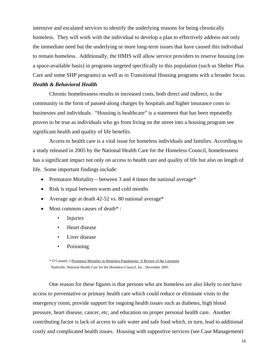intensive and escalated services to identify the underlying reasons for being chronically homeless. They will work with the individual to develop a plan to effectively address not only the immediate need but the underlying or more long-term issues that have caused this individual to remain homeless. Additionally, the HMIS will allow service providers to reserve housing (on a space-available basis) in programs targeted specifically to this population (such as Shelter Plus Care and some SHP programs) as well as in Transitional Housing programs with a broader focus. *Health & Behavioral Health*

Chronic homelessness results in increased costs, both direct and indirect, to the community in the form of passed-along charges by hospitals and higher insurance costs to businesses and individuals. "Housing is healthcare" is a statement that has been repeatedly proven to be true as individuals who go from living on the street into a housing program see significant health and quality of life benefits.

Access to health care is a vital issue for homeless individuals and families. According to a study released in 2005 by the National Health Care for the Homeless Council, homelessness has a significant impact not only on access to health care and quality of life but also on length of life. Some important findings include:

- Premature Mortality between 3 and 4 times the national average\*
- Risk is equal between warm and cold months
- Average age at death 42-52 vs. 80 national average\*
- Most common causes of death<sup>\*</sup>:
	- Injuries
	- Heart disease
	- Liver disease
	- Poisoning

\* O'Connell, J Premature Mortality in Homeless Populations: A Review of the Literature Nashville: National Health Care for the Homeless Council, Inc. December 2005

One reason for these figures is that persons who are homeless are also likely to not have access to preventative or primary health care which could reduce or eliminate visits to the emergency room, provide support for ongoing health issues such as diabetes, high blood pressure, heart disease, cancer, etc, and education on proper personal health care. Another contributing factor is lack of access to safe water and safe food which, in turn, lead to additional costly and complicated health issues. Housing with supportive services (see Case Management)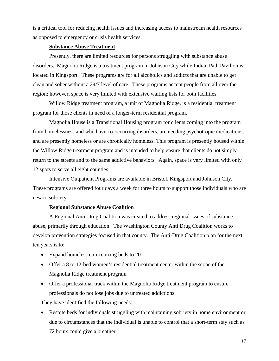is a critical tool for reducing health issues and increasing access to mainstream health resources as opposed to emergency or crisis health services.

## **Substance Abuse Treatment**

Presently, there are limited resources for persons struggling with substance abuse disorders. Magnolia Ridge is a treatment program in Johnson City while Indian Path Pavilion is located in Kingsport. These programs are for all alcoholics and addicts that are unable to get clean and sober without a 24/7 level of care. These programs accept people from all over the region; however, space is very limited with extensive waiting lists for both facilities.

Willow Ridge treatment program, a unit of Magnolia Ridge, is a residential treatment program for those clients in need of a longer-term residential program.

Magnolia House is a Transitional Housing program for clients coming into the program from homelessness and who have co-occurring disorders, are needing psychotropic medications, and are presently homeless or are chronically homeless. This program is presently housed within the Willow Ridge treatment program and is intended to help ensure that clients do not simply return to the streets and to the same addictive behaviors. Again, space is very limited with only 12 spots to serve all eight counties.

Intensive Outpatient Programs are available in Bristol, Kingsport and Johnson City. These programs are offered four days a week for three hours to support those individuals who are new to sobriety.

# **Regional Substance Abuse Coalition**

A Regional Anti-Drug Coalition was created to address regional issues of substance abuse, primarily through education. The Washington County Anti Drug Coalition works to develop prevention strategies focused in that county. The Anti-Drug Coalition plan for the next ten years is to:

- Expand homeless co-occurring beds to 20
- Offer a 8 to 12-bed women's residential treatment center within the scope of the Magnolia Ridge treatment program
- Offer a professional track within the Magnolia Ridge treatment program to ensure professionals do not lose jobs due to untreated addictions.

They have identified the following needs:

• Respite beds for individuals struggling with maintaining sobriety in home environment or due to circumstances that the individual is unable to control that a short-term stay such as 72 hours could give a breather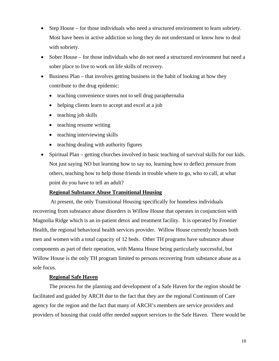- Step House for those individuals who need a structured environment to learn sobriety. Most have been in active addiction so long they do not understand or know how to deal with sobriety.
- Sober House for those individuals who do not need a structured environment but need a sober place to live to work on life skills of recovery.
- Business Plan that involves getting business in the habit of looking at how they contribute to the drug epidemic:
	- teaching convenience stores not to sell drug paraphernalia
	- helping clients learn to accept and excel at a job
	- teaching job skills
	- teaching resume writing
	- teaching interviewing skills
	- teaching dealing with authority figures
- Spiritual Plan getting churches involved in basic teaching of survival skills for our kids. Not just saying NO but learning how to say no, learning how to deflect pressure from others, teaching how to help those friends in trouble where to go, who to call, at what point do you have to tell an adult?

#### **Regional Substance Abuse Transitional Housing**

 At present, the only Transitional Housing specifically for homeless individuals recovering from substance abuse disorders is Willow House that operates in conjunction with Magnolia Ridge which is an in-patient detox and treatment facility. It is operated by Frontier Health, the regional behavioral health services provider. Willow House currently houses both men and women with a total capacity of 12 beds. Other TH programs have substance abuse components as part of their operation, with Manna House being particularly successful, but Willow House is the only TH program limited to persons recovering from substance abuse as a sole focus.

## **Regional Safe Haven**

The process for the planning and development of a Safe Haven for the region should be facilitated and guided by ARCH due to the fact that they are the regional Continuum of Care agency for the region and the fact that many of ARCH's members are service providers and providers of housing that could offer needed support services to the Safe Haven. There would be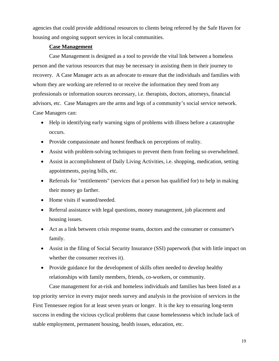agencies that could provide additional resources to clients being referred by the Safe Haven for housing and ongoing support services in local communities.

# **Case Management**

Case Management is designed as a tool to provide the vital link between a homeless person and the various resources that may be necessary in assisting them in their journey to recovery. A Case Manager acts as an advocate to ensure that the individuals and families with whom they are working are referred to or receive the information they need from any professionals or information sources necessary, i.e. therapists, doctors, attorneys, financial advisors, etc. Case Managers are the arms and legs of a community's social service network. Case Managers can:

- Help in identifying early warning signs of problems with illness before a catastrophe occurs.
- Provide compassionate and honest feedback on perceptions of reality.
- Assist with problem-solving techniques to prevent them from feeling so overwhelmed.
- Assist in accomplishment of Daily Living Activities, i.e. shopping, medication, setting appointments, paying bills, etc.
- Referrals for "entitlements" (services that a person has qualified for) to help in making their money go farther.
- Home visits if wanted/needed.
- Referral assistance with legal questions, money management, job placement and housing issues.
- Act as a link between crisis response teams, doctors and the consumer or consumer's family.
- Assist in the filing of Social Security Insurance (SSI) paperwork (but with little impact on whether the consumer receives it).
- Provide guidance for the development of skills often needed to develop healthy relationships with family members, friends, co-workers, or community.

Case management for at-risk and homeless individuals and families has been listed as a top priority service in every major needs survey and analysis in the provision of services in the First Tennessee region for at least seven years or longer. It is the key to ensuring long-term success in ending the vicious cyclical problems that cause homelessness which include lack of stable employment, permanent housing, health issues, education, etc.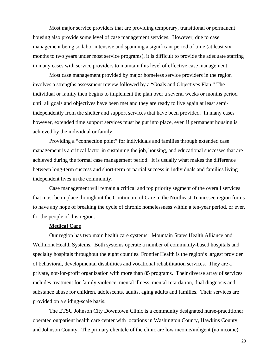Most major service providers that are providing temporary, transitional or permanent housing also provide some level of case management services. However, due to case management being so labor intensive and spanning a significant period of time (at least six months to two years under most service programs), it is difficult to provide the adequate staffing in many cases with service providers to maintain this level of effective case management.

Most case management provided by major homeless service providers in the region involves a strengths assessment review followed by a "Goals and Objectives Plan." The individual or family then begins to implement the plan over a several weeks or months period until all goals and objectives have been met and they are ready to live again at least semiindependently from the shelter and support services that have been provided. In many cases however, extended time support services must be put into place, even if permanent housing is achieved by the individual or family.

 Providing a "connection point" for individuals and families through extended case management is a critical factor in sustaining the job, housing, and educational successes that are achieved during the formal case management period. It is usually what makes the difference between long-term success and short-term or partial success in individuals and families living independent lives in the community.

Case management will remain a critical and top priority segment of the overall services that must be in place throughout the Continuum of Care in the Northeast Tennessee region for us to have any hope of breaking the cycle of chronic homelessness within a ten-year period, or ever, for the people of this region.

## **Medical Care**

Our region has two main health care systems: Mountain States Health Alliance and Wellmont Health Systems. Both systems operate a number of community-based hospitals and specialty hospitals throughout the eight counties. Frontier Health is the region's largest provider of behavioral, developmental disabilities and vocational rehabilitation services. They are a private, not-for-profit organization with more than 85 programs. Their diverse array of services includes treatment for family violence, mental illness, mental retardation, dual diagnosis and substance abuse for children, adolescents, adults, aging adults and families. Their services are provided on a sliding-scale basis.

The ETSU Johnson City Downtown Clinic is a community designated nurse-practitioner operated outpatient health care center with locations in Washington County, Hawkins County, and Johnson County. The primary clientele of the clinic are low income/indigent (no income)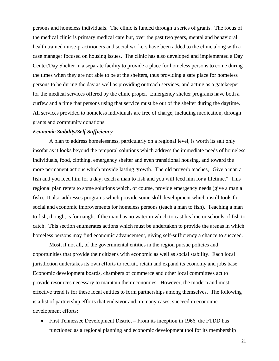persons and homeless individuals. The clinic is funded through a series of grants. The focus of the medical clinic is primary medical care but, over the past two years, mental and behavioral health trained nurse-practitioners and social workers have been added to the clinic along with a case manager focused on housing issues. The clinic has also developed and implemented a Day Center/Day Shelter in a separate facility to provide a place for homeless persons to come during the times when they are not able to be at the shelters, thus providing a safe place for homeless persons to be during the day as well as providing outreach services, and acting as a gatekeeper for the medical services offered by the clinic proper. Emergency shelter programs have both a curfew and a time that persons using that service must be out of the shelter during the daytime. All services provided to homeless individuals are free of charge, including medication, through grants and community donations.

#### *Economic Stability/Self Sufficiency*

A plan to address homelessness, particularly on a regional level, is worth its salt only insofar as it looks beyond the temporal solutions which address the immediate needs of homeless individuals, food, clothing, emergency shelter and even transitional housing, and toward the more permanent actions which provide lasting growth. The old proverb teaches, "Give a man a fish and you feed him for a day; teach a man to fish and you will feed him for a lifetime." This regional plan refers to some solutions which, of course, provide emergency needs (give a man a fish). It also addresses programs which provide some skill development which instill tools for social and economic improvements for homeless persons (teach a man to fish). Teaching a man to fish, though, is for naught if the man has no water in which to cast his line or schools of fish to catch. This section enumerates actions which must be undertaken to provide the arenas in which homeless persons may find economic advancement, giving self-sufficiency a chance to succeed.

Most, if not all, of the governmental entities in the region pursue policies and opportunities that provide their citizens with economic as well as social stability. Each local jurisdiction undertakes its own efforts to recruit, retain and expand its economy and jobs base. Economic development boards, chambers of commerce and other local committees act to provide resources necessary to maintain their economies. However, the modern and most effective trend is for these local entities to form partnerships among themselves. The following is a list of partnership efforts that endeavor and, in many cases, succeed in economic development efforts:

• First Tennessee Development District – From its inception in 1966, the FTDD has functioned as a regional planning and economic development tool for its membership

21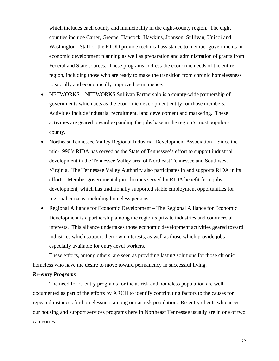which includes each county and municipality in the eight-county region. The eight counties include Carter, Greene, Hancock, Hawkins, Johnson, Sullivan, Unicoi and Washington. Staff of the FTDD provide technical assistance to member governments in economic development planning as well as preparation and administration of grants from Federal and State sources. These programs address the economic needs of the entire region, including those who are ready to make the transition from chronic homelessness to socially and economically improved permanence.

- NETWORKS NETWORKS Sullivan Partnership is a county-wide partnership of governments which acts as the economic development entity for those members. Activities include industrial recruitment, land development and marketing. These activities are geared toward expanding the jobs base in the region's most populous county.
- Northeast Tennessee Valley Regional Industrial Development Association Since the mid-1990's RIDA has served as the State of Tennessee's effort to support industrial development in the Tennessee Valley area of Northeast Tennessee and Southwest Virginia. The Tennessee Valley Authority also participates in and supports RIDA in its efforts. Member governmental jurisdictions served by RIDA benefit from jobs development, which has traditionally supported stable employment opportunities for regional citizens, including homeless persons.
- Regional Alliance for Economic Development The Regional Alliance for Economic Development is a partnership among the region's private industries and commercial interests. This alliance undertakes those economic development activities geared toward industries which support their own interests, as well as those which provide jobs especially available for entry-level workers.

These efforts, among others, are seen as providing lasting solutions for those chronic homeless who have the desire to move toward permanency in successful living.

#### *Re-entry Programs*

The need for re-entry programs for the at-risk and homeless population are well documented as part of the efforts by ARCH to identify contributing factors to the causes for repeated instances for homelessness among our at-risk population. Re-entry clients who access our housing and support services programs here in Northeast Tennessee usually are in one of two categories: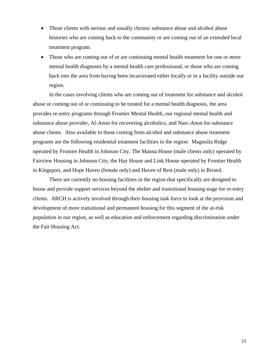- Those clients with serious and usually chronic substance abuse and alcohol abuse histories who are coming back to the community or are coming out of an extended local treatment program.
- Those who are coming out of or are continuing mental health treatment for one or more mental health diagnoses by a mental health care professional, or those who are coming back into the area from having been incarcerated either locally or in a facility outside our region.

In the cases involving clients who are coming out of treatment for substance and alcohol abuse or coming out of or continuing to be treated for a mental health diagnosis, the area provides re-entry programs through Frontier Mental Health, our regional mental health and substance abuse provider, Al-Anon for recovering alcoholics, and Narc-Anon for substance abuse clients. Also available to those coming from alcohol and substance abuse treatment programs are the following residential treatment facilities in the region: Magnolia Ridge operated by Frontier Health in Johnson City, The Manna House (male clients only) operated by Fairview Housing in Johnson City, the Hay House and Link House operated by Frontier Health in Kingsport, and Hope Haven (female only) and Haven of Rest (male only) in Bristol.

 There are currently no housing facilities in the region that specifically are designed to house and provide support services beyond the shelter and transitional housing stage for re-entry clients. ARCH is actively involved through their housing task force to look at the provision and development of more transitional and permanent housing for this segment of the at-risk population in our region, as well as education and enforcement regarding discrimination under the Fair Housing Act.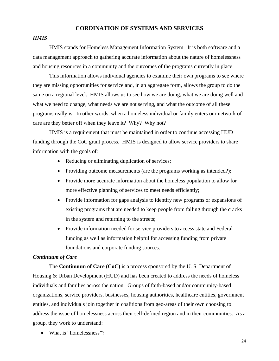# **CORDINATION OF SYSTEMS AND SERVICES**

#### *HMIS*

HMIS stands for Homeless Management Information System. It is both software and a data management approach to gathering accurate information about the nature of homelessness and housing resources in a community and the outcomes of the programs currently in place.

 This information allows individual agencies to examine their own programs to see where they are missing opportunities for service and, in an aggregate form, allows the group to do the same on a regional level. HMIS allows us to see how we are doing, what we are doing well and what we need to change, what needs we are not serving, and what the outcome of all these programs really is. In other words, when a homeless individual or family enters our network of care are they better off when they leave it? Why? Why not?

 HMIS is a requirement that must be maintained in order to continue accessing HUD funding through the CoC grant process. HMIS is designed to allow service providers to share information with the goals of:

- Reducing or eliminating duplication of services;
- Providing outcome measurements (are the programs working as intended?);
- Provide more accurate information about the homeless population to allow for more effective planning of services to meet needs efficiently;
- Provide information for gaps analysis to identify new programs or expansions of existing programs that are needed to keep people from falling through the cracks in the system and returning to the streets;
- Provide information needed for service providers to access state and Federal funding as well as information helpful for accessing funding from private foundations and corporate funding sources.

# *Continuum of Care*

The **Continuum of Care (CoC)** is a process sponsored by the U. S. Department of Housing & Urban Development (HUD) and has been created to address the needs of homeless individuals and families across the nation. Groups of faith-based and/or community-based organizations, service providers, businesses, housing authorities, healthcare entities, government entities, and individuals join together in coalitions from geo-areas of their own choosing to address the issue of homelessness across their self**-**defined region and in their communities. As a group, they work to understand:

• What is "homelessness"?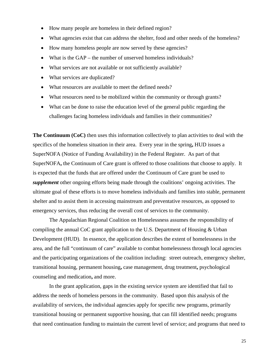- How many people are homeless in their defined region?
- What agencies exist that can address the shelter, food and other needs of the homeless?
- How many homeless people are now served by these agencies?
- What is the GAP the number of unserved homeless individuals?
- What services are not available or not sufficiently available?
- What services are duplicated?
- What resources are available to meet the defined needs?
- What resources need to be mobilized within the community or through grants?
- What can be done to raise the education level of the general public regarding the challenges facing homeless individuals and families in their communities?

**The Continuum (CoC)** then uses this information collectively to plan activities to deal with the specifics of the homeless situation in their area. Every year in the spring**,** HUD issues a SuperNOFA (Notice of Funding Availability) in the Federal Register. As part of that SuperNOFA**,** the Continuum of Care grant is offered to those coalitions that choose to apply. It is expected that the funds that are offered under the Continuum of Care grant be used to *supplement* other ongoing efforts being made through the coalitions' ongoing activities. The ultimate goal of these efforts is to move homeless individuals and families into stable, permanent shelter and to assist them in accessing mainstream and preventative resources, as opposed to emergency services, thus reducing the overall cost of services to the community.

The Appalachian Regional Coalition on Homelessness assumes the responsibility of compiling the annual CoC grant application to the U.S. Department of Housing & Urban Development (HUD). In essence, the application describes the extent of homelessness in the area, and the full "continuum of care" available to combat homelessness through local agencies and the participating organizations of the coalition including: street outreach, emergency shelter, transitional housing, permanent housing**,** case management, drug treatment**,** psychological counseling and medication**,** and more.

In the grant application, gaps in the existing service system are identified that fail to address the needs of homeless persons in the community. Based upon this analysis of the availability of services, the individual agencies apply for specific new programs, primarily transitional housing or permanent supportive housing, that can fill identified needs; programs that need continuation funding to maintain the current level of service; and programs that need to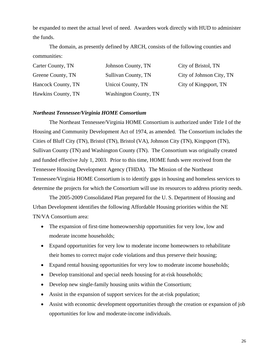be expanded to meet the actual level of need. Awardees work directly with HUD to administer the funds.

The domain, as presently defined by ARCH, consists of the following counties and communities:

| Carter County, TN  | Johnson County, TN    | City of Bristol, TN      |
|--------------------|-----------------------|--------------------------|
| Greene County, TN  | Sullivan County, TN   | City of Johnson City, TN |
| Hancock County, TN | Unicoi County, TN     | City of Kingsport, TN    |
| Hawkins County, TN | Washington County, TN |                          |

# *Northeast Tennessee/Virginia HOME Consortium*

The Northeast Tennessee/Virginia HOME Consortium is authorized under Title I of the Housing and Community Development Act of 1974, as amended. The Consortium includes the Cities of Bluff City (TN), Bristol (TN), Bristol (VA), Johnson City (TN), Kingsport (TN), Sullivan County (TN) and Washington County (TN). The Consortium was originally created and funded effective July 1, 2003. Prior to this time, HOME funds were received from the Tennessee Housing Development Agency (THDA). The Mission of the Northeast Tennessee/Virginia HOME Consortium is to identify gaps in housing and homeless services to determine the projects for which the Consortium will use its resources to address priority needs.

The 2005-2009 Consolidated Plan prepared for the U. S. Department of Housing and Urban Development identifies the following Affordable Housing priorities within the NE TN/VA Consortium area:

- The expansion of first-time homeownership opportunities for very low, low and moderate income households;
- Expand opportunities for very low to moderate income homeowners to rehabilitate their homes to correct major code violations and thus preserve their housing;
- Expand rental housing opportunities for very low to moderate income households;
- Develop transitional and special needs housing for at-risk households;
- Develop new single-family housing units within the Consortium;
- Assist in the expansion of support services for the at-risk population;
- Assist with economic development opportunities through the creation or expansion of job opportunities for low and moderate-income individuals.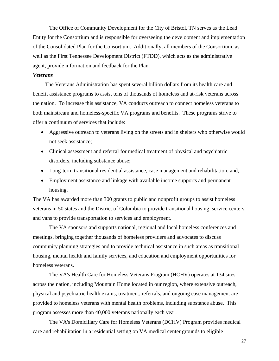The Office of Community Development for the City of Bristol, TN serves as the Lead Entity for the Consortium and is responsible for overseeing the development and implementation of the Consolidated Plan for the Consortium. Additionally, all members of the Consortium, as well as the First Tennessee Development District (FTDD), which acts as the administrative agent, provide information and feedback for the Plan.

## *Veterans*

The Veterans Administration has spent several billion dollars from its health care and benefit assistance programs to assist tens of thousands of homeless and at-risk veterans across the nation. To increase this assistance, VA conducts outreach to connect homeless veterans to both mainstream and homeless-specific VA programs and benefits. These programs strive to offer a continuum of services that include:

- Aggressive outreach to veterans living on the streets and in shelters who otherwise would not seek assistance;
- Clinical assessment and referral for medical treatment of physical and psychiatric disorders, including substance abuse;
- Long-term transitional residential assistance, case management and rehabilitation; and,
- Employment assistance and linkage with available income supports and permanent housing.

The VA has awarded more than 300 grants to public and nonprofit groups to assist homeless veterans in 50 states and the District of Columbia to provide transitional housing, service centers, and vans to provide transportation to services and employment.

The VA sponsors and supports national, regional and local homeless conferences and meetings, bringing together thousands of homeless providers and advocates to discuss community planning strategies and to provide technical assistance in such areas as transitional housing, mental health and family services, and education and employment opportunities for homeless veterans.

The VA's Health Care for Homeless Veterans Program (HCHV) operates at 134 sites across the nation, including Mountain Home located in our region, where extensive outreach, physical and psychiatric health exams, treatment, referrals, and ongoing case management are provided to homeless veterans with mental health problems, including substance abuse. This program assesses more than 40,000 veterans nationally each year.

 The VA's Domiciliary Care for Homeless Veterans (DCHV) Program provides medical care and rehabilitation in a residential setting on VA medical center grounds to eligible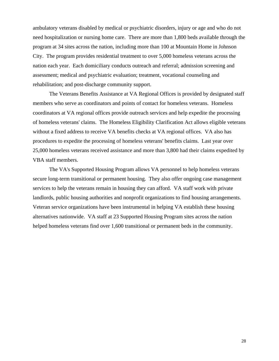ambulatory veterans disabled by medical or psychiatric disorders, injury or age and who do not need hospitalization or nursing home care. There are more than 1,800 beds available through the program at 34 sites across the nation, including more than 100 at Mountain Home in Johnson City. The program provides residential treatment to over 5,000 homeless veterans across the nation each year. Each domiciliary conducts outreach and referral; admission screening and assessment; medical and psychiatric evaluation; treatment, vocational counseling and rehabilitation; and post-discharge community support.

The Veterans Benefits Assistance at VA Regional Offices is provided by designated staff members who serve as coordinators and points of contact for homeless veterans. Homeless coordinators at VA regional offices provide outreach services and help expedite the processing of homeless veterans' claims. The Homeless Eligibility Clarification Act allows eligible veterans without a fixed address to receive VA benefits checks at VA regional offices. VA also has procedures to expedite the processing of homeless veterans' benefits claims. Last year over 25,000 homeless veterans received assistance and more than 3,800 had their claims expedited by VBA staff members.

The VA's Supported Housing Program allows VA personnel to help homeless veterans secure long-term transitional or permanent housing. They also offer ongoing case management services to help the veterans remain in housing they can afford. VA staff work with private landlords, public housing authorities and nonprofit organizations to find housing arrangements. Veteran service organizations have been instrumental in helping VA establish these housing alternatives nationwide. VA staff at 23 Supported Housing Program sites across the nation helped homeless veterans find over 1,600 transitional or permanent beds in the community.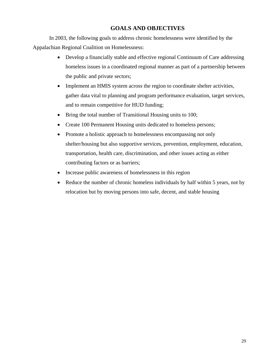# **GOALS AND OBJECTIVES**

 In 2003, the following goals to address chronic homelessness were identified by the Appalachian Regional Coalition on Homelessness:

- Develop a financially stable and effective regional Continuum of Care addressing homeless issues in a coordinated regional manner as part of a partnership between the public and private sectors;
- Implement an HMIS system across the region to coordinate shelter activities, gather data vital to planning and program performance evaluation, target services, and to remain competitive for HUD funding;
- Bring the total number of Transitional Housing units to 100;
- Create 100 Permanent Housing units dedicated to homeless persons;
- Promote a holistic approach to homelessness encompassing not only shelter/housing but also supportive services, prevention, employment, education, transportation, health care, discrimination, and other issues acting as either contributing factors or as barriers;
- Increase public awareness of homelessness in this region
- Reduce the number of chronic homeless individuals by half within 5 years, not by relocation but by moving persons into safe, decent, and stable housing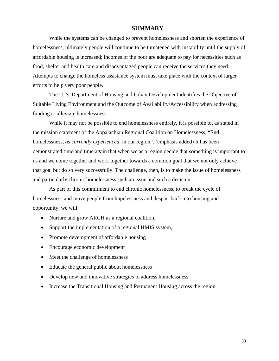# **SUMMARY**

 While the systems can be changed to prevent homelessness and shorten the experience of homelessness, ultimately people will continue to be threatened with instability until the supply of affordable housing is increased; incomes of the poor are adequate to pay for necessities such as food, shelter and health care and disadvantaged people can receive the services they need. Attempts to change the homeless assistance system must take place with the context of larger efforts to help very poor people.

 The U. S. Department of Housing and Urban Development identifies the Objective of Suitable Living Environment and the Outcome of Availability/Accessibility when addressing funding to alleviate homelessness.

 While it may not be possible to end homelessness entirely, it is possible to, as stated in the mission statement of the Appalachian Regional Coalition on Homelessness, "End homelessness, *as currently experienced*, in our region". (emphasis added) It has been demonstrated time and time again that when we as a region decide that something is important to us and we come together and work together towards a common goal that we not only achieve that goal but do so very successfully. The challenge, then, is to make the issue of homelessness and particularly chronic homelessness such an issue and such a decision.

 As part of this commitment to end chronic homelessness, to break the cycle of homelessness and move people from hopelessness and despair back into housing and opportunity, we will:

- Nurture and grow ARCH as a regional coalition,
- Support the implementation of a regional HMIS system,
- Promote development of affordable housing
- Encourage economic development
- Meet the challenge of homelessness
- Educate the general public about homelessness
- Develop new and innovative strategies to address homelessness
- Increase the Transitional Housing and Permanent Housing across the region